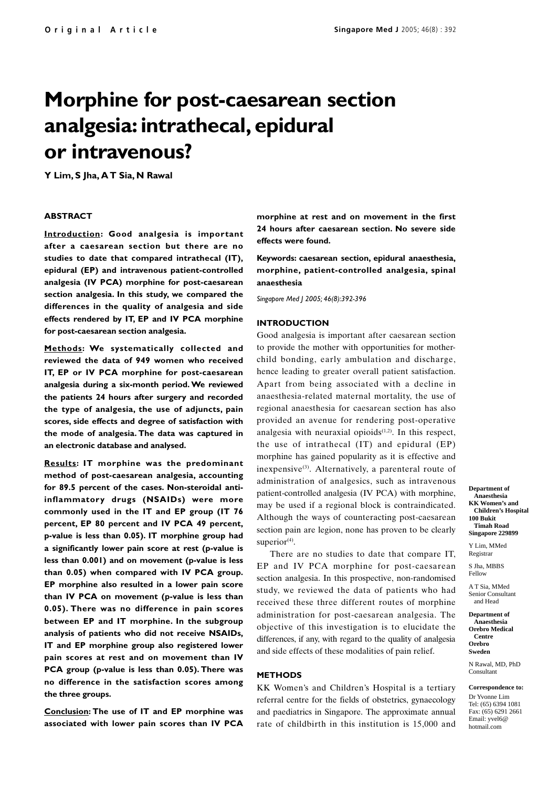# **Morphine for post-caesarean section analgesia: intrathecal, epidural or intravenous?**

**Y Lim, S Jha, A T Sia, N Rawal**

### **ABSTRACT**

**Introduction: Good analgesia is important after a caesarean section but there are no studies to date that compared intrathecal (IT), epidural (EP) and intravenous patient-controlled analgesia (IV PCA) morphine for post-caesarean section analgesia. In this study, we compared the differences in the quality of analgesia and side effects rendered by IT, EP and IV PCA morphine for post-caesarean section analgesia.**

**Methods: We systematically collected and reviewed the data of 949 women who received IT, EP or IV PCA morphine for post-caesarean analgesia during a six-month period. We reviewed the patients 24 hours after surgery and recorded the type of analgesia, the use of adjuncts, pain scores, side effects and degree of satisfaction with the mode of analgesia. The data was captured in an electronic database and analysed.**

**Results: IT morphine was the predominant method of post-caesarean analgesia, accounting for 89.5 percent of the cases. Non-steroidal antiinflammatory drugs (NSAIDs) were more commonly used in the IT and EP group (IT 76 percent, EP 80 percent and IV PCA 49 percent, p-value is less than 0.05). IT morphine group had a significantly lower pain score at rest (p-value is less than 0.001) and on movement (p-value is less than 0.05) when compared with IV PCA group. EP morphine also resulted in a lower pain score than IV PCA on movement (p-value is less than 0.05). There was no difference in pain scores between EP and IT morphine. In the subgroup analysis of patients who did not receive NSAIDs, IT and EP morphine group also registered lower pain scores at rest and on movement than IV PCA group (p-value is less than 0.05). There was no difference in the satisfaction scores among the three groups.**

**Conclusion: The use of IT and EP morphine was associated with lower pain scores than IV PCA** **morphine at rest and on movement in the first 24 hours after caesarean section. No severe side effects were found.**

**Keywords: caesarean section, epidural anaesthesia, morphine, patient-controlled analgesia, spinal anaesthesia**

*Singapore Med J 2005; 46(8):392-396*

## **INTRODUCTION**

Good analgesia is important after caesarean section to provide the mother with opportunities for motherchild bonding, early ambulation and discharge, hence leading to greater overall patient satisfaction. Apart from being associated with a decline in anaesthesia-related maternal mortality, the use of regional anaesthesia for caesarean section has also provided an avenue for rendering post-operative analgesia with neuraxial opioids $(1,2)$ . In this respect, the use of intrathecal (IT) and epidural (EP) morphine has gained popularity as it is effective and inexpensive $(3)$ . Alternatively, a parenteral route of administration of analgesics, such as intravenous patient-controlled analgesia (IV PCA) with morphine, may be used if a regional block is contraindicated. Although the ways of counteracting post-caesarean section pain are legion, none has proven to be clearly superior $(4)$ .

There are no studies to date that compare IT, EP and IV PCA morphine for post-caesarean section analgesia. In this prospective, non-randomised study, we reviewed the data of patients who had received these three different routes of morphine administration for post-caesarean analgesia. The objective of this investigation is to elucidate the differences, if any, with regard to the quality of analgesia and side effects of these modalities of pain relief.

## **METHODS**

KK Women's and Children's Hospital is a tertiary referral centre for the fields of obstetrics, gynaecology and paediatrics in Singapore. The approximate annual rate of childbirth in this institution is 15,000 and **Department of Anaesthesia KK Women's and Children's Hospital 100 Bukit Timah Road Singapore 229899**

Y Lim, MMed Registrar

S Jha, MBBS Fellow

A T Sia, MMed Senior Consultant and Head

**Department of Anaesthesia Orebro Medical Centre Orebro**

**Sweden**

N Rawal, MD, PhD Consultant

**Correspondence to:** Dr Yvonne Lim

Tel: (65) 6394 1081 Fax: (65) 6291 2661 Email: yvel6@ hotmail.com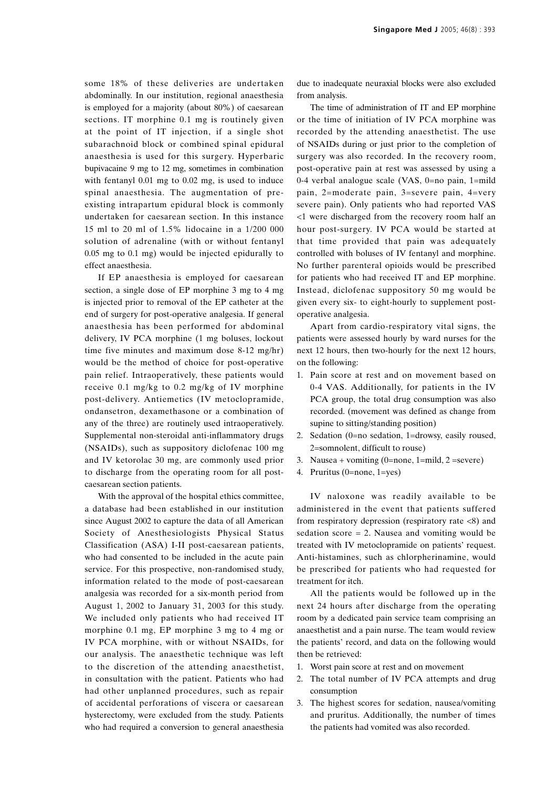some 18% of these deliveries are undertaken abdominally. In our institution, regional anaesthesia is employed for a majority (about 80%) of caesarean sections. IT morphine 0.1 mg is routinely given at the point of IT injection, if a single shot subarachnoid block or combined spinal epidural anaesthesia is used for this surgery. Hyperbaric bupivacaine 9 mg to 12 mg, sometimes in combination with fentanyl 0.01 mg to 0.02 mg, is used to induce spinal anaesthesia. The augmentation of preexisting intrapartum epidural block is commonly undertaken for caesarean section. In this instance 15 ml to 20 ml of 1.5% lidocaine in a 1/200 000 solution of adrenaline (with or without fentanyl 0.05 mg to 0.1 mg) would be injected epidurally to effect anaesthesia.

If EP anaesthesia is employed for caesarean section, a single dose of EP morphine 3 mg to 4 mg is injected prior to removal of the EP catheter at the end of surgery for post-operative analgesia. If general anaesthesia has been performed for abdominal delivery, IV PCA morphine (1 mg boluses, lockout time five minutes and maximum dose 8-12 mg/hr) would be the method of choice for post-operative pain relief. Intraoperatively, these patients would receive 0.1 mg/kg to 0.2 mg/kg of IV morphine post-delivery. Antiemetics (IV metoclopramide, ondansetron, dexamethasone or a combination of any of the three) are routinely used intraoperatively. Supplemental non-steroidal anti-inflammatory drugs (NSAIDs), such as suppository diclofenac 100 mg and IV ketorolac 30 mg, are commonly used prior to discharge from the operating room for all postcaesarean section patients.

With the approval of the hospital ethics committee, a database had been established in our institution since August 2002 to capture the data of all American Society of Anesthesiologists Physical Status Classification (ASA) I-II post-caesarean patients, who had consented to be included in the acute pain service. For this prospective, non-randomised study, information related to the mode of post-caesarean analgesia was recorded for a six-month period from August 1, 2002 to January 31, 2003 for this study. We included only patients who had received IT morphine 0.1 mg, EP morphine 3 mg to 4 mg or IV PCA morphine, with or without NSAIDs, for our analysis. The anaesthetic technique was left to the discretion of the attending anaesthetist, in consultation with the patient. Patients who had had other unplanned procedures, such as repair of accidental perforations of viscera or caesarean hysterectomy, were excluded from the study. Patients who had required a conversion to general anaesthesia

due to inadequate neuraxial blocks were also excluded from analysis.

The time of administration of IT and EP morphine or the time of initiation of IV PCA morphine was recorded by the attending anaesthetist. The use of NSAIDs during or just prior to the completion of surgery was also recorded. In the recovery room, post-operative pain at rest was assessed by using a 0-4 verbal analogue scale (VAS, 0=no pain, 1=mild pain, 2=moderate pain, 3=severe pain, 4=very severe pain). Only patients who had reported VAS <1 were discharged from the recovery room half an hour post-surgery. IV PCA would be started at that time provided that pain was adequately controlled with boluses of IV fentanyl and morphine. No further parenteral opioids would be prescribed for patients who had received IT and EP morphine. Instead, diclofenac suppository 50 mg would be given every six- to eight-hourly to supplement postoperative analgesia.

Apart from cardio-respiratory vital signs, the patients were assessed hourly by ward nurses for the next 12 hours, then two-hourly for the next 12 hours, on the following:

- 1. Pain score at rest and on movement based on 0-4 VAS. Additionally, for patients in the IV PCA group, the total drug consumption was also recorded. (movement was defined as change from supine to sitting/standing position)
- 2. Sedation (0=no sedation, 1=drowsy, easily roused, 2=somnolent, difficult to rouse)
- 3. Nausea + vomiting  $(0=none, 1=mid, 2=severe)$
- 4. Pruritus (0=none, 1=yes)

IV naloxone was readily available to be administered in the event that patients suffered from respiratory depression (respiratory rate <8) and sedation  $score = 2$ . Nausea and vomiting would be treated with IV metoclopramide on patients' request. Anti-histamines, such as chlorpherinamine, would be prescribed for patients who had requested for treatment for itch.

All the patients would be followed up in the next 24 hours after discharge from the operating room by a dedicated pain service team comprising an anaesthetist and a pain nurse. The team would review the patients' record, and data on the following would then be retrieved:

- 1. Worst pain score at rest and on movement
- 2. The total number of IV PCA attempts and drug consumption
- 3. The highest scores for sedation, nausea/vomiting and pruritus. Additionally, the number of times the patients had vomited was also recorded.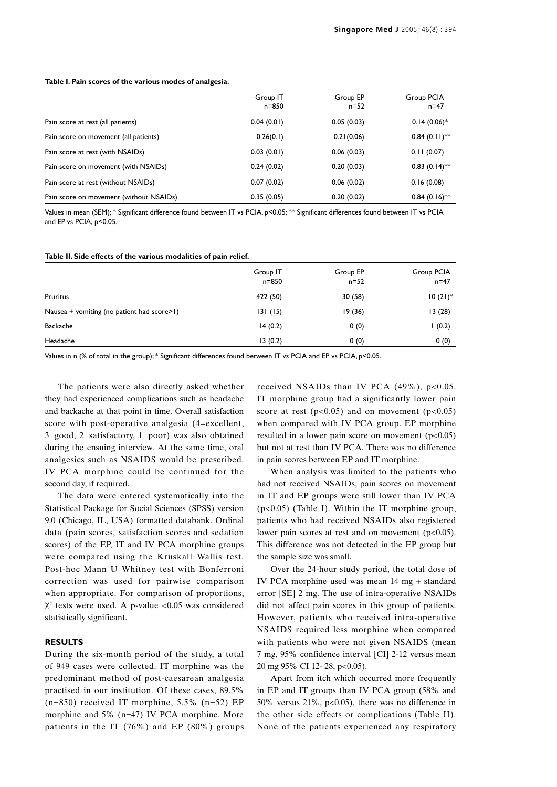#### **Table I. Pain scores of the various modes of analgesia.**

|                                         | Group IT<br>n=850 | Group EP<br>$n = 52$ | Group PCIA<br>$n = 47$ |
|-----------------------------------------|-------------------|----------------------|------------------------|
| Pain score at rest (all patients)       | 0.04(0.01)        | 0.05(0.03)           | $0.14(0.06)*$          |
| Pain score on movement (all patients)   | 0.26(0.1)         | 0.21(0.06)           | $0.84(0.11)$ **        |
| Pain score at rest (with NSAIDs)        | 0.03(0.01)        | 0.06(0.03)           | 0.11(0.07)             |
| Pain score on movement (with NSAIDs)    | 0.24(0.02)        | 0.20(0.03)           | $0.83(0.14)$ **        |
| Pain score at rest (without NSAIDs)     | 0.07(0.02)        | 0.06(0.02)           | 0.16(0.08)             |
| Pain score on movement (without NSAIDs) | 0.35(0.05)        | 0.20(0.02)           | $0.84(0.16)$ **        |

Values in mean (SEM); \* Significant difference found between IT vs PCIA, p<0.05; \*\* Significant differences found between IT vs PCIA and EP vs PCIA, p<0.05.

#### **Table II. Side effects of the various modalities of pain relief.**

|                                            | Group IT<br>n=850 | Group EP<br>$n = 52$ | Group PCIA<br>$n = 47$ |
|--------------------------------------------|-------------------|----------------------|------------------------|
| <b>Pruritus</b>                            | 422 (50)          | 30 (58)              | $10(21)$ <sup>*</sup>  |
| Nausea + vomiting (no patient had score>1) | 131(15)           | 19(36)               | 13(28)                 |
| <b>Backache</b>                            | 14(0.2)           | 0(0)                 | (0.2)                  |
| Headache                                   | 13(0.2)           | 0(0)                 | 0(0)                   |

Values in n (% of total in the group); \* Significant differences found between IT vs PCIA and EP vs PCIA, p<0.05.

The patients were also directly asked whether they had experienced complications such as headache and backache at that point in time. Overall satisfaction score with post-operative analgesia (4=excellent, 3=good, 2=satisfactory, 1=poor) was also obtained during the ensuing interview. At the same time, oral analgesics such as NSAIDS would be prescribed. IV PCA morphine could be continued for the second day, if required.

The data were entered systematically into the Statistical Package for Social Sciences (SPSS) version 9.0 (Chicago, IL, USA) formatted databank. Ordinal data (pain scores, satisfaction scores and sedation scores) of the EP, IT and IV PCA morphine groups were compared using the Kruskall Wallis test. Post-hoc Mann U Whitney test with Bonferroni correction was used for pairwise comparison when appropriate. For comparison of proportions,  $X^2$  tests were used. A p-value <0.05 was considered statistically significant.

## **RESULTS**

During the six-month period of the study, a total of 949 cases were collected. IT morphine was the predominant method of post-caesarean analgesia practised in our institution. Of these cases, 89.5%  $(n=850)$  received IT morphine, 5.5%  $(n=52)$  EP morphine and 5% (n=47) IV PCA morphine. More patients in the IT (76%) and EP (80%) groups

received NSAIDs than IV PCA  $(49\%)$ , p<0.05. IT morphine group had a significantly lower pain score at rest  $(p<0.05)$  and on movement  $(p<0.05)$ when compared with IV PCA group. EP morphine resulted in a lower pain score on movement  $(p<0.05)$ but not at rest than IV PCA. There was no difference in pain scores between EP and IT morphine.

When analysis was limited to the patients who had not received NSAIDs, pain scores on movement in IT and EP groups were still lower than IV PCA (p<0.05) (Table I). Within the IT morphine group, patients who had received NSAIDs also registered lower pain scores at rest and on movement  $(p<0.05)$ . This difference was not detected in the EP group but the sample size was small.

Over the 24-hour study period, the total dose of IV PCA morphine used was mean 14 mg + standard error [SE] 2 mg. The use of intra-operative NSAIDs did not affect pain scores in this group of patients. However, patients who received intra-operative NSAIDS required less morphine when compared with patients who were not given NSAIDS (mean 7 mg, 95% confidence interval [CI] 2-12 versus mean 20 mg 95% CI 12- 28, p<0.05).

Apart from itch which occurred more frequently in EP and IT groups than IV PCA group (58% and 50% versus  $21\%$ , p<0.05), there was no difference in the other side effects or complications (Table II). None of the patients experienced any respiratory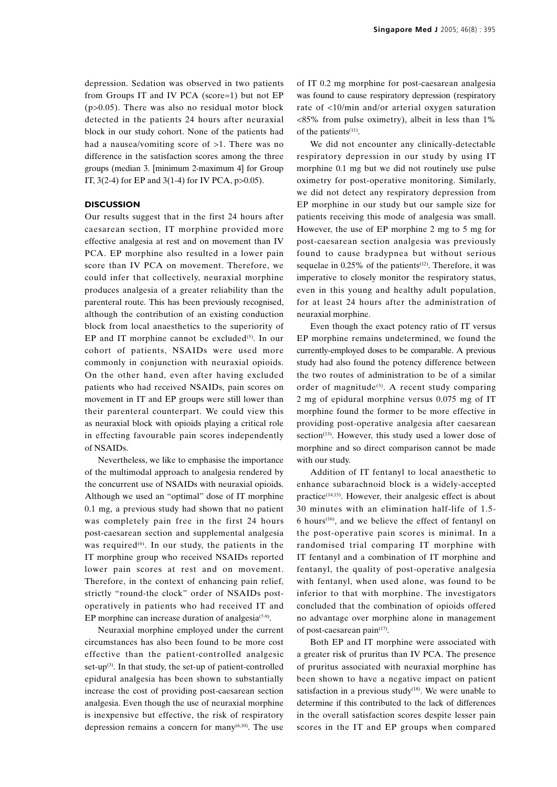depression. Sedation was observed in two patients from Groups IT and IV PCA (score=1) but not EP  $(p>0.05)$ . There was also no residual motor block detected in the patients 24 hours after neuraxial block in our study cohort. None of the patients had had a nausea/vomiting score of  $>1$ . There was no difference in the satisfaction scores among the three groups (median 3. [minimum 2-maximum 4] for Group IT,  $3(2-4)$  for EP and  $3(1-4)$  for IV PCA,  $p > 0.05$ ).

## **DISCUSSION**

Our results suggest that in the first 24 hours after caesarean section, IT morphine provided more effective analgesia at rest and on movement than IV PCA. EP morphine also resulted in a lower pain score than IV PCA on movement. Therefore, we could infer that collectively, neuraxial morphine produces analgesia of a greater reliability than the parenteral route. This has been previously recognised, although the contribution of an existing conduction block from local anaesthetics to the superiority of EP and IT morphine cannot be excluded $(5)$ . In our cohort of patients, NSAIDs were used more commonly in conjunction with neuraxial opioids. On the other hand, even after having excluded patients who had received NSAIDs, pain scores on movement in IT and EP groups were still lower than their parenteral counterpart. We could view this as neuraxial block with opioids playing a critical role in effecting favourable pain scores independently of NSAIDs.

Nevertheless, we like to emphasise the importance of the multimodal approach to analgesia rendered by the concurrent use of NSAIDs with neuraxial opioids. Although we used an "optimal" dose of IT morphine 0.1 mg, a previous study had shown that no patient was completely pain free in the first 24 hours post-caesarean section and supplemental analgesia was required $(6)$ . In our study, the patients in the IT morphine group who received NSAIDs reported lower pain scores at rest and on movement. Therefore, in the context of enhancing pain relief, strictly "round-the clock" order of NSAIDs postoperatively in patients who had received IT and EP morphine can increase duration of analgesia<sup> $(7-9)$ </sup>.

Neuraxial morphine employed under the current circumstances has also been found to be more cost effective than the patient-controlled analgesic set-up $(3)$ . In that study, the set-up of patient-controlled epidural analgesia has been shown to substantially increase the cost of providing post-caesarean section analgesia. Even though the use of neuraxial morphine is inexpensive but effective, the risk of respiratory depression remains a concern for many $(6,10)$ . The use

of IT 0.2 mg morphine for post-caesarean analgesia was found to cause respiratory depression (respiratory rate of <10/min and/or arterial oxygen saturation <85% from pulse oximetry), albeit in less than 1% of the patients<sup>(11)</sup>.

We did not encounter any clinically-detectable respiratory depression in our study by using IT morphine 0.1 mg but we did not routinely use pulse oximetry for post-operative monitoring. Similarly, we did not detect any respiratory depression from EP morphine in our study but our sample size for patients receiving this mode of analgesia was small. However, the use of EP morphine 2 mg to 5 mg for post-caesarean section analgesia was previously found to cause bradypnea but without serious sequelae in  $0.25\%$  of the patients<sup> $(12)$ </sup>. Therefore, it was imperative to closely monitor the respiratory status, even in this young and healthy adult population, for at least 24 hours after the administration of neuraxial morphine.

Even though the exact potency ratio of IT versus EP morphine remains undetermined, we found the currently-employed doses to be comparable. A previous study had also found the potency difference between the two routes of administration to be of a similar order of magnitude<sup>(3)</sup>. A recent study comparing 2 mg of epidural morphine versus 0.075 mg of IT morphine found the former to be more effective in providing post-operative analgesia after caesarean section<sup> $(13)$ </sup>. However, this study used a lower dose of morphine and so direct comparison cannot be made with our study.

Addition of IT fentanyl to local anaesthetic to enhance subarachnoid block is a widely-accepted practice $(14,15)$ . However, their analgesic effect is about 30 minutes with an elimination half-life of 1.5-  $6$  hours<sup>(16)</sup>, and we believe the effect of fentanyl on the post-operative pain scores is minimal. In a randomised trial comparing IT morphine with IT fentanyl and a combination of IT morphine and fentanyl, the quality of post-operative analgesia with fentanyl, when used alone, was found to be inferior to that with morphine. The investigators concluded that the combination of opioids offered no advantage over morphine alone in management of post-caesarean pain(17).

Both EP and IT morphine were associated with a greater risk of pruritus than IV PCA. The presence of pruritus associated with neuraxial morphine has been shown to have a negative impact on patient satisfaction in a previous study<sup> $(18)$ </sup>. We were unable to determine if this contributed to the lack of differences in the overall satisfaction scores despite lesser pain scores in the IT and EP groups when compared